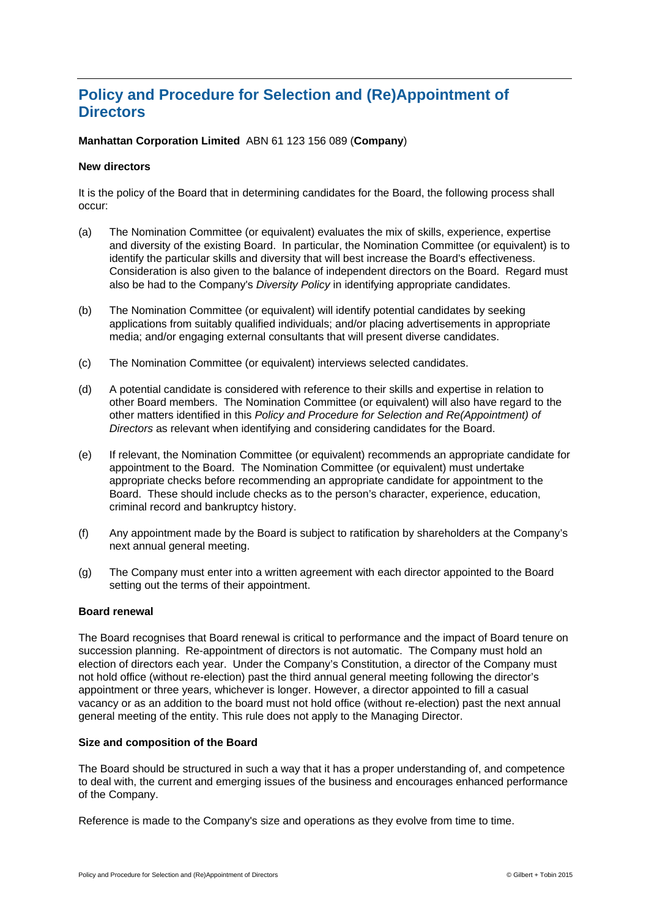# **Policy and Procedure for Selection and (Re)Appointment of Directors**

**Manhattan Corporation Limited** ABN 61 123 156 089 (**Company**)

### **New directors**

It is the policy of the Board that in determining candidates for the Board, the following process shall occur:

- (a) The Nomination Committee (or equivalent) evaluates the mix of skills, experience, expertise and diversity of the existing Board. In particular, the Nomination Committee (or equivalent) is to identify the particular skills and diversity that will best increase the Board's effectiveness. Consideration is also given to the balance of independent directors on the Board. Regard must also be had to the Company's *Diversity Policy* in identifying appropriate candidates.
- (b) The Nomination Committee (or equivalent) will identify potential candidates by seeking applications from suitably qualified individuals; and/or placing advertisements in appropriate media; and/or engaging external consultants that will present diverse candidates.
- (c) The Nomination Committee (or equivalent) interviews selected candidates.
- (d) A potential candidate is considered with reference to their skills and expertise in relation to other Board members. The Nomination Committee (or equivalent) will also have regard to the other matters identified in this *Policy and Procedure for Selection and Re(Appointment) of Directors* as relevant when identifying and considering candidates for the Board.
- (e) If relevant, the Nomination Committee (or equivalent) recommends an appropriate candidate for appointment to the Board. The Nomination Committee (or equivalent) must undertake appropriate checks before recommending an appropriate candidate for appointment to the Board. These should include checks as to the person's character, experience, education, criminal record and bankruptcy history.
- (f) Any appointment made by the Board is subject to ratification by shareholders at the Company's next annual general meeting.
- (g) The Company must enter into a written agreement with each director appointed to the Board setting out the terms of their appointment.

### **Board renewal**

The Board recognises that Board renewal is critical to performance and the impact of Board tenure on succession planning. Re-appointment of directors is not automatic. The Company must hold an election of directors each year. Under the Company's Constitution, a director of the Company must not hold office (without re-election) past the third annual general meeting following the director's appointment or three years, whichever is longer. However, a director appointed to fill a casual vacancy or as an addition to the board must not hold office (without re-election) past the next annual general meeting of the entity. This rule does not apply to the Managing Director.

### **Size and composition of the Board**

The Board should be structured in such a way that it has a proper understanding of, and competence to deal with, the current and emerging issues of the business and encourages enhanced performance of the Company.

Reference is made to the Company's size and operations as they evolve from time to time.